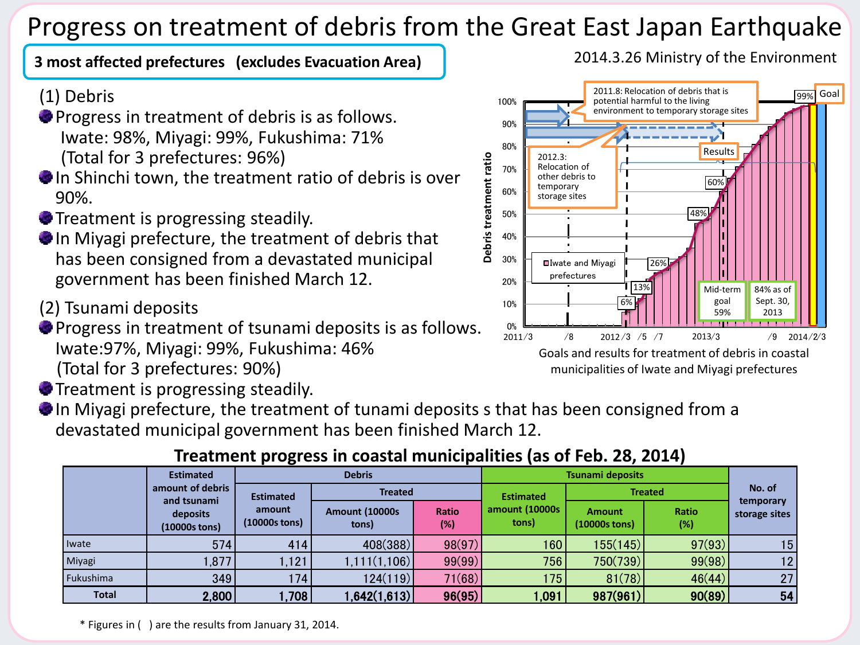# Progress on treatment of debris from the Great East Japan Earthquake

### **3 most affected prefectures (excludes Evacuation Area)**

## (1) Debris

- **Progress in treatment of debris is as follows.** Iwate: 98%, Miyagi: 99%, Fukushima: 71% (Total for 3 prefectures: 96%)
- In Shinchi town, the treatment ratio of debris is over 90%.
- **Treatment is progressing steadily.**
- In Miyagi prefecture, the treatment of debris that has been consigned from a devastated municipal government has been finished March 12.
- (2) Tsunami deposits
- **Progress in treatment of tsunami deposits is as follows.** Iwate:97%, Miyagi: 99%, Fukushima: 46% (Total for 3 prefectures: 90%)
- **Treatment is progressing steadily.**
- In Miyagi prefecture, the treatment of tunami deposits s that has been consigned from a devastated municipal government has been finished March 12.

# **Treatment progress in coastal municipalities (as of Feb. 28, 2014)**

|              | <b>Estimated</b>                                             | <b>Debris</b>                               |                                 |              | <b>Tsunami deposits</b> |                                  |                 |                            |
|--------------|--------------------------------------------------------------|---------------------------------------------|---------------------------------|--------------|-------------------------|----------------------------------|-----------------|----------------------------|
|              | amount of debris<br>and tsunami<br>deposits<br>(10000s tons) | <b>Estimated</b><br>amount<br>(10000s tons) | <b>Treated</b>                  |              | <b>Estimated</b>        | <b>Treated</b>                   |                 | No. of                     |
|              |                                                              |                                             | <b>Amount (10000s)</b><br>tons) | Ratio<br>(%) | amount (10000s<br>tons) | <b>Amount</b><br>$(10000s$ tons) | Ratio<br>$(\%)$ | temporary<br>storage sites |
| Iwate        | 574                                                          | 414                                         | 408(388)                        | 98(97)       | 160                     | 155(145)                         | 97(93)          | 15                         |
| Miyagi       | 1,877                                                        | 1,121                                       | 1,111(1,106)                    | 99(99)       | 756                     | 750(739)                         | 99(98)          | 12                         |
| Fukushima    | 349                                                          | 174                                         | 124(119)                        | 71(68)       | 175                     | 81(78)                           | 46(44)          | 27                         |
| <b>Total</b> | 2,800                                                        | .708                                        | 1,642(1,613)                    | 96(95)       | 1,091                   | 987(961)                         | 90(89)          | 54                         |

2014.3.26 Ministry of the Environment



\* Figures in ( ) are the results from January 31, 2014.